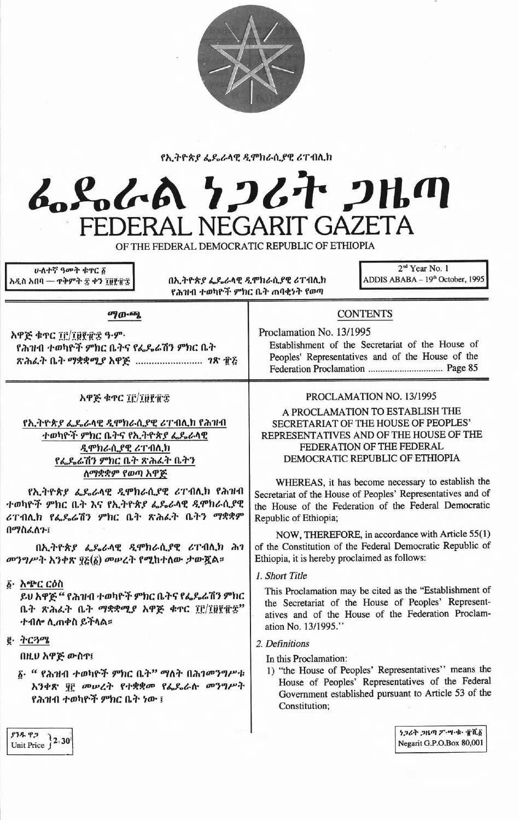

## የኢትዮጵያ ፌዴራላዊ ዲሞክራሲያዊ ሪፐብሊክ

## んとんよ ケンムナ フルの **GAZETA** FFD NEGARIT  $\Gamma$ FRA

OF THE FEDERAL DEMOCRATIC REPUBLIC OF ETHIOPIA

**ሁለተኛ ዓመት ቁ**ኖር ፩ አዲስ አበባ — ተቅምት ፰ ቀን ፲፱፻፹፰

 $\blacksquare$ 

በኢትዮጵያ ፌዴራሳዊ ዲሞክራሲያዊ ሪፐብሊክ የሕዝብ ተወካዮች ምክር ቤት ጠባቂነት የወጣ

2<sup>nd</sup> Year No. 1 ADDIS ABABA - 19th October, 1995

| <b>PJ</b> ரு.தை                                                                                                                                                                                                                                      | <b>CONTENTS</b>                                                                                                                                                                                                                                                                                                                                                                          |
|------------------------------------------------------------------------------------------------------------------------------------------------------------------------------------------------------------------------------------------------------|------------------------------------------------------------------------------------------------------------------------------------------------------------------------------------------------------------------------------------------------------------------------------------------------------------------------------------------------------------------------------------------|
| አዋጅ ቁጥር ፲፫/፲፱፻፹፰ ዓ.ም.<br>የሕዝብ ተወካዮች ምክር ቤትና የፌዴሬሽን ምክር ቤት<br>ጽሕፈት ቤት ማቋቋሚያ አዋጅ  ገጽ ፹፭                                                                                                                                                                | Proclamation No. 13/1995<br>Establishment of the Secretariat of the House of<br>Peoples' Representatives and of the House of the                                                                                                                                                                                                                                                         |
| አዋጅ ቁጥር ፲፫/፲፱፻፹፰                                                                                                                                                                                                                                     | PROCLAMATION NO. 13/1995                                                                                                                                                                                                                                                                                                                                                                 |
| የኢትዮጵያ ፌዴራላዊ ዲሞክራሲያዊ ሪፐብሊክ የሕዝብ<br>ተወካዮች ምክር ቤትና የኢትዮጵያ ፌዴራላዊ<br>ዲሞክራሲያዊ ሪፐብሊክ<br>የፌዴሬሽን ምክር ቤት ጽሕፈት ቤትን<br>ለማቋቋም የወጣ አዋጅ<br>የኢትዮጵያ ፌዴራላዊ ዲሞክራሲያዊ ሪፐብሊክ የሕዝብ<br>ተወካዮች ምክር ቤት እና የኢትዮጵያ ፌዴራላዊ ዲሞክራሲያዊ<br>ሪፐብሊክ የፌጼሬሽን ምክር ቤት ጽሕፌት ቤትን ማቋቋም<br>በማስፈለጉ፤ | A PROCLAMATION TO ESTABLISH THE<br>SECRETARIAT OF THE HOUSE OF PEOPLES'<br>REPRESENTATIVES AND OF THE HOUSE OF THE<br>FEDERATION OF THE FEDERAL<br>DEMOCRATIC REPUBLIC OF ETHIOPIA<br>WHEREAS, it has become necessary to establish the<br>Secretariat of the House of Peoples' Representatives and of<br>the House of the Federation of the Federal Democratic<br>Republic of Ethiopia; |
| በኢትዮጵያ ፌዴራላዊ ዲሞክራሲያዊ ሪፐብሊክ ሕገ<br>መንግሥት አንቀጽ ፶፩(፩) መሠረት የሚከተለው ታውጇል።                                                                                                                                                                                  | NOW, THEREFORE, in accordance with Article 55(1)<br>of the Constitution of the Federal Democratic Republic of<br>Ethiopia, it is hereby proclaimed as follows:                                                                                                                                                                                                                           |
| ፩• አጭር ርዕስ<br>ይህ አዋጅ " የሕዝብ ተወካዮች ምክር ቤትና የፌዴራሽን ምክር<br>ቤት ጽሕፈት ቤት ማቋቋሚያ አዋጅ ቁዋር ፲፫/፲፱፻፹፰"<br>ተብሎ ሊጠቀስ ይችላል።                                                                                                                                         | 1. Short Title<br>This Proclamation may be cited as the "Establishment of<br>the Secretariat of the House of Peoples' Represent-<br>atives and of the House of the Federation Proclam-<br>ation No. 13/1995."                                                                                                                                                                            |
| $g \cdot \tau$ ርጓሜ<br>በዚህ አዋጅ ውስጥ!<br>δ· " የሕዝብ ተወካዮች ምክር ቤት" ማለት በሕገመንግሥቱ<br>አንቀጽ ያ፫ መሠረት የተቋቋመ የፌዶራሱ መንግሥት<br>የሕዝብ ተወካዮች ምክር ቤት ነው ፤                                                                                                               | 2. Definitions<br>In this Proclamation:<br>1) "the House of Peoples' Representatives" means the<br>House of Peoples' Representatives of the Federal<br>Government established pursuant to Article 53 of the<br>Constitution;                                                                                                                                                             |

 $\frac{1}{2}$ <br>Unit Price  $2.30$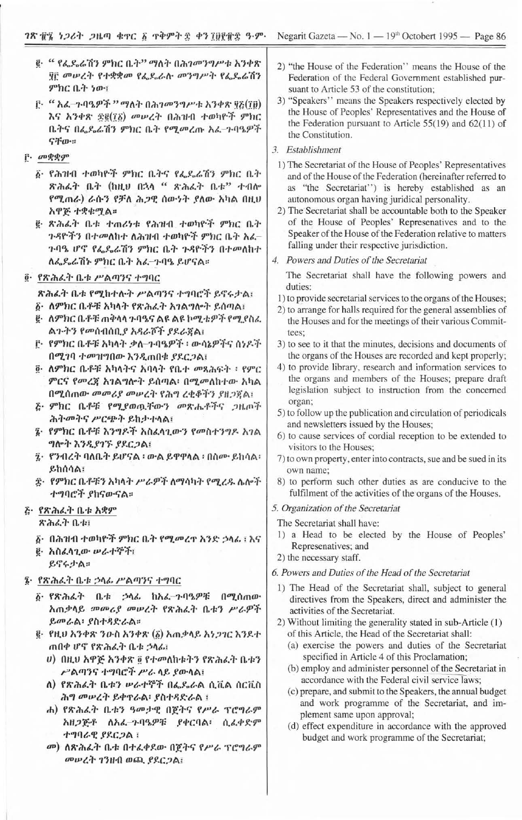- ፪· " የፌዴሬሽን ምክር ቤት" ማለት በሕገመንግሥቱ አንቀጽ ዋ፫ መሠረት የተቋቋመ የፌዶራሉ መንግሥት የፌዶሬሽን ምክር ቤት ነው፣
- ፫· " አፈ-ጉባዔዎች " ማለት በሕገመንግሥቱ አንቀጽ ፶፩(፲፱) እና አንቀጽ ድ፪(16) መሠረት በሕዝብ ተወካዮች ምክር ቤትና በፌዴሬሽን ምክር ቤት የሚመረጡ አፌ-ጉባዔዎች ናቸው።
- **F**. መቋቋም
	- ፩· የሕዝብ ተወካዮች ምክር ቤትና የፌዴሬሽን ምክር ቤት ጽሕፈት ቤት (ከዚሀ በኋላ " ጽሕፈት ቤቱ" ተብሎ የሚጠራ) ራሱን የቻለ ሕጋዊ ሰውነት ያለው አካል በዚህ አዋጅ ተቋቁሚል።
	- g ጽሕፈት ቤቱ ተጠሪነቱ የሕዝብ ተወካዮች ምክር ቤት ጉዳዮችን በተመለከተ ለሕዝብ ተወካዮች ምክር ቤት አሬ-ጉባዔ ሆኖ የፌዴሬሽን ምክር ቤት ጉዳዮችን በተመለከተ ለፌዴሬሽኑ ምክር ቤት አሬ-ጉባዔ ይሆናል።
- ፬· የጽሕፈት ቤቱ ሥልጣንና ተግባር

ጽሕራት ቤቱ የሚከተሉት ሥልጣንና ተግባሮች ይኖሩታል፣ ፩• ለምክር ቤቶቹ አካላት የጽሕፈት አንልግሎት ይሰጣል፤

- ፪• ሰምክር ቤቶቹ ጠቅሳሳ ጉባዔና ልዩ ልዩ ኮሚቴዎች የሚያስራ ልጉትን የመሰብሰቢያ አዳራሾች ያደራጀል፤
- ፫• የምክር ቤቶቹ አካላት ቃለ-ጉባዔዎች ፡ ውሳኔዎችና ሰነዶች በሚገባ ተመዝግበው እንዲጠበቁ ያደርጋል፤
- ፬· ለምክር ቤቶቹ አካላትና አባላት የቤተ መጻሕፍት ፡ የምር ምርና የመረጃ አገልግሎት ይሰጣል፡ በሚመለከተው አካል በሚሰጠው መመሪያ መሠረት የሕግ ረቂቆችን ያዘጋጀል፣
- ጅ· ምክር ቤቶቹ የሚያወዉቸውን መጽሔቶችና ጋዜጦች ሕትመትና ሥርጭት ይከታተላል፣
- ፤• የምክር ቤቶቹ እንግዶች አስፈላጊውን የመስተንግዶ አገል ግሎት እንዲያገኙ ያደርጋል፤
- ፯• የንብረት ባለቤት ይሆናል ፡ ውል ይዋዋላል ፡ በስሙ ይከሳል፡ ይከሰሳል፣
- ፰· የምክር ቤቶቹን አካላት ሥራዎች ለማሳካት የሚረዱ ሴሎች ተግባሮች ያከናውናል።

# ሯ• የጽሕፈት ቤቱ አቋም

ጽሕፈት ቤቱ፣

- δ• በሕዝብ ተወካዮች ምክር ቤት የሚመረዋ አንድ ኃላፊ ፣ እና
- g· አስፈላጊው ሥራተኞች፣
	- ይኖሩታል።
- ፤ የጽሕፈት ቤቱ ኃላፊ ሥልጣንና ተግባር
	- ፩ የጽሕፈት ቤቱ ኃላፊ ከአፈ-ጉባዔዎቹ በሚሰጠው አጠቃላይ መመሪያ መሠረት የጽሕፈት ቤቱን ሥራዎች ይመራል፡ ያስተዳድራል።
	- ፪• የዚሀ አንቀጽ ንዑስ አንቀጽ (፩) አጠቃላይ አነጋገር እንደተ ጠበቀ ሆኖ የጽሕፈት ቤቱ ኃላፊ፤
		- ሀ) በዚህ አዋጅ አንቀጽ ፬ የተመለከቱትን የጽሕፈት ቤቱን ሥልጣንና ተግባሮች ሥራ ላይ ያውላል፤
		- ለ) የጽሕፈት ቤቱን ሥራተኞች በፌዴራል ሲቪል ሰርቪስ ሕግ መሠረት ይቀዋራል፡ ያስተዳድራል ፣
		- ሐ) የጽሕፈት ቤቱን ዓመታዊ በጀትና የሥራ ፕሮግራም አዘጋጅቶ ለአፌ-ጉባዔዎቹ ያቀርባል፣ ሲፈቀድም ተግባራዊ ያደርጋል ፤
		- መ) ለጽሕፈት ቤቱ በተፈቀደው በጀትና የሥራ ፕሮግራም መሠረት ገንዘብ ወጪ ያደርጋል፣
- 2) "the House of the Federation" means the House of the Federation of the Federal Government established pursuant to Article 53 of the constitution;
- 3) "Speakers" means the Speakers respectively elected by the House of Peoples' Representatives and the House of the Federation pursuant to Article  $55(19)$  and  $62(11)$  of the Constitution.
- 3. Establishment
	- 1) The Secretariat of the House of Peoples' Representatives and of the House of the Federation (hereinafter referred to as "the Secretariat") is hereby established as an autonomous organ having juridical personality.
- 2) The Secretariat shall be accountable both to the Speaker of the House of Peoples' Represenatives and to the Speaker of the House of the Federation relative to matters falling under their respective jurisdiction.
- 4. Powers and Duties of the Secretariat

The Secretariat shall have the following powers and duties:

- 1) to provide secretarial services to the organs of the Houses; 2) to arrange for halls required for the general assemblies of
- the Houses and for the meetings of their various Committees:
- 3) to see to it that the minutes, decisions and documents of the organs of the Houses are recorded and kept properly;
- 4) to provide library, research and information services to the organs and members of the Houses; prepare draft legislation subject to instruction from the concerned organ;
- 5) to follow up the publication and circulation of periodicals and newsletters issued by the Houses;
- 6) to cause services of cordial reception to be extended to visitors to the Houses;
- 7) to own property, enter into contracts, sue and be sued in its own name;
- 8) to perform such other duties as are conducive to the fulfilment of the activities of the organs of the Houses.
- 5. Organization of the Secretariat

The Secretariat shall have:

- 1) a Head to be elected by the House of Peoples' Represenatives; and
- 2) the necessary staff.

#### 6. Powers and Duties of the Head of the Secretariat

- 1) The Head of the Secretariat shall, subject to general directives from the Speakers, direct and administer the activities of the Secretariat.
- 2) Without limiting the generality stated in sub-Article (1) of this Article, the Head of the Secretariat shall:
	- (a) exercise the powers and duties of the Secretariat specified in Article 4 of this Proclamation;
	- (b) employ and administer personnel of the Secretariat in accordance with the Federal civil service laws;
	- (c) prepare, and submit to the Speakers, the annual budget and work programme of the Secretariat, and implement same upon approval;
	- (d) effect expenditure in accordance with the approved budget and work programme of the Secretariat;